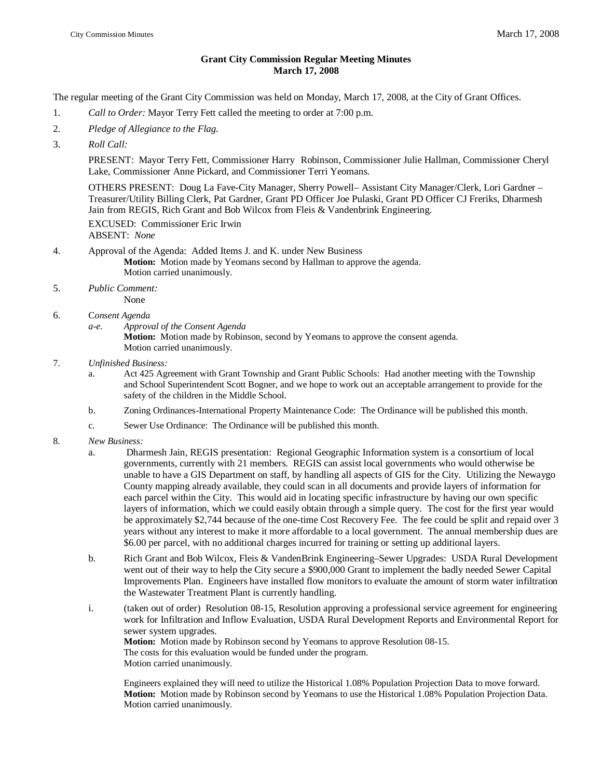## **Grant City Commission Regular Meeting Minutes March 17, 2008**

The regular meeting of the Grant City Commission was held on Monday, March 17, 2008, at the City of Grant Offices.

- 1. *Call to Order:* Mayor Terry Fett called the meeting to order at 7:00 p.m.
- 2. *Pledge of Allegiance to the Flag.*
- 3. *Roll Call:*

PRESENT: Mayor Terry Fett, Commissioner Harry Robinson, Commissioner Julie Hallman, Commissioner Cheryl Lake, Commissioner Anne Pickard, and Commissioner Terri Yeomans.

OTHERS PRESENT: Doug La Fave-City Manager, Sherry Powell– Assistant City Manager/Clerk, Lori Gardner – Treasurer/Utility Billing Clerk, Pat Gardner, Grant PD Officer Joe Pulaski, Grant PD Officer CJ Freriks, Dharmesh Jain from REGIS, Rich Grant and Bob Wilcox from Fleis & Vandenbrink Engineering.

EXCUSED: Commissioner Eric Irwin ABSENT: *None*

- 4. Approval of the Agenda: Added Items J. and K. under New Business **Motion:** Motion made by Yeomans second by Hallman to approve the agenda. Motion carried unanimously.
- 5. *Public Comment:*

None

- 6. C*onsent Agenda*
	- *a-e. Approval of the Consent Agenda*

**Motion:** Motion made by Robinson, second by Yeomans to approve the consent agenda. Motion carried unanimously.

- 7. *Unfinished Business:*
	- a. Act 425 Agreement with Grant Township and Grant Public Schools: Had another meeting with the Township and School Superintendent Scott Bogner, and we hope to work out an acceptable arrangement to provide for the safety of the children in the Middle School.
	- b. Zoning Ordinances-International Property Maintenance Code: The Ordinance will be published this month.
	- c. Sewer Use Ordinance: The Ordinance will be published this month.
- 8. *New Business:*
	- a. Dharmesh Jain, REGIS presentation: Regional Geographic Information system is a consortium of local governments, currently with 21 members. REGIS can assist local governments who would otherwise be unable to have a GIS Department on staff, by handling all aspects of GIS for the City. Utilizing the Newaygo County mapping already available, they could scan in all documents and provide layers of information for each parcel within the City. This would aid in locating specific infrastructure by having our own specific layers of information, which we could easily obtain through a simple query. The cost for the first year would be approximately \$2,744 because of the one-time Cost Recovery Fee. The fee could be split and repaid over 3 years without any interest to make it more affordable to a local government. The annual membership dues are \$6.00 per parcel, with no additional charges incurred for training or setting up additional layers.
	- b. Rich Grant and Bob Wilcox, Fleis & VandenBrink Engineering–Sewer Upgrades: USDA Rural Development went out of their way to help the City secure a \$900,000 Grant to implement the badly needed Sewer Capital Improvements Plan. Engineers have installed flow monitors to evaluate the amount of storm water infiltration the Wastewater Treatment Plant is currently handling.
	- i. (taken out of order) Resolution 08-15, Resolution approving a professional service agreement for engineering work for Infiltration and Inflow Evaluation, USDA Rural Development Reports and Environmental Report for sewer system upgrades. **Motion:** Motion made by Robinson second by Yeomans to approve Resolution 08-15. The costs for this evaluation would be funded under the program. Motion carried unanimously.

Engineers explained they will need to utilize the Historical 1.08% Population Projection Data to move forward. **Motion:** Motion made by Robinson second by Yeomans to use the Historical 1.08% Population Projection Data. Motion carried unanimously.